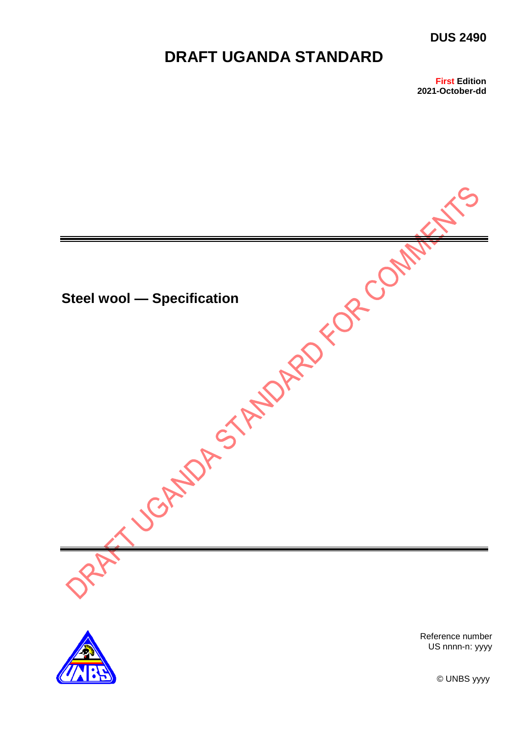## **DUS 2490**

# **DRAFT UGANDA STANDARD**

**First Edition** 2021-October-dd





Reference number US nnnn-n: yyyy

© UNBS yyyy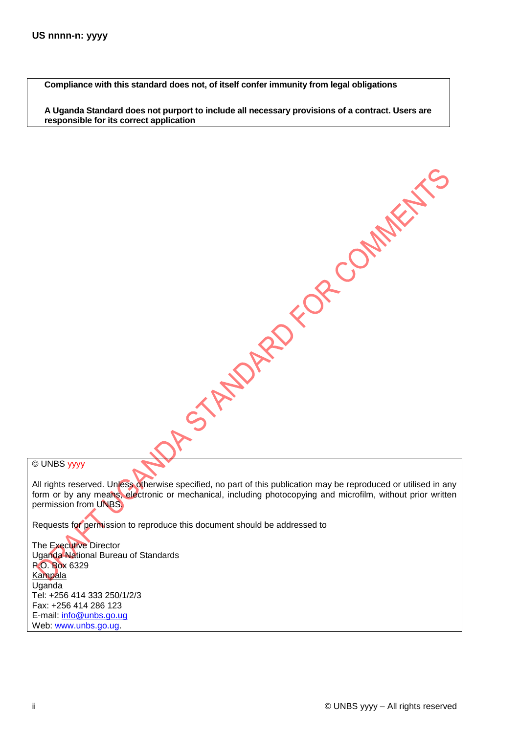**Compliance with this standard does not, of itself confer immunity from legal obligations**

**A Uganda Standard does not purport to include all necessary provisions of a contract. Users are responsible for its correct application**

© UNBS yyyy

All rights reserved. Unless otherwise specified, no part of this publication may be reproduced or utilised in any form or by any means, electronic or mechanical, including photocopying and microfilm, without prior written permission from UNBS.

A STANDARD FOR COMMENTS

Requests for permission to reproduce this document should be addressed to

The Executive Director Uganda National Bureau of Standards P.O. Box 6329 Kampala Uganda Tel: +256 414 333 250/1/2/3 Fax: +256 414 286 123 E-mail: [info@unbs.go.ug](mailto:info@unbs.go.ug) Web: www.unbs.go.ug.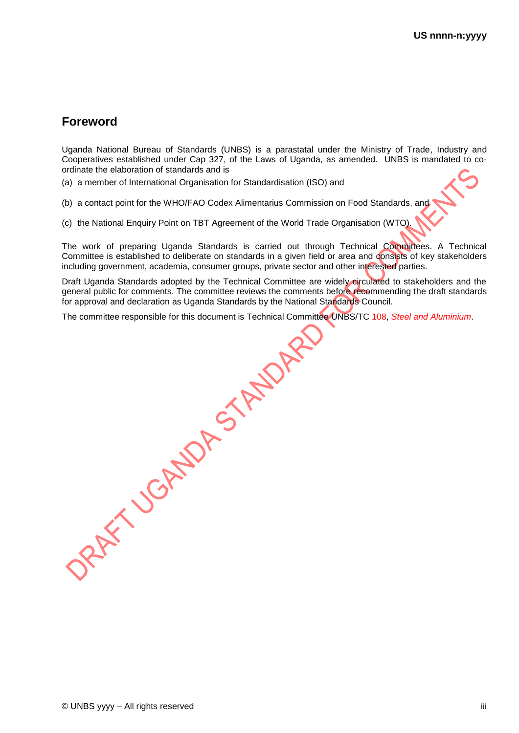# **Foreword**

Uganda National Bureau of Standards (UNBS) is a parastatal under the Ministry of Trade, Industry and Cooperatives established under Cap 327, of the Laws of Uganda, as amended. UNBS is mandated to coordinate the elaboration of standards and is

(a) a member of International Organisation for Standardisation (ISO) and

(b) a contact point for the WHO/FAO Codex Alimentarius Commission on Food Standards, and

(c) the National Enquiry Point on TBT Agreement of the World Trade Organisation (WTO).

The work of preparing Uganda Standards is carried out through Technical Committees. A Technical Committee is established to deliberate on standards in a given field or area and consists of key stakeholders including government, academia, consumer groups, private sector and other interested parties.

Draft Uganda Standards adopted by the Technical Committee are widely circulated to stakeholders and the general public for comments. The committee reviews the comments before recommending the draft standards

The committee responsible for this document is Technical Committee UNBS/TC 108, *Steel and Aluminium*.

for approval and declaration as Uganda Standards by the National Standards Council.<br>The committee responsible for this document is Technical Committee UNBS/TC 108, 3<br><br>And the Council Standards Council.<br>And the National Sta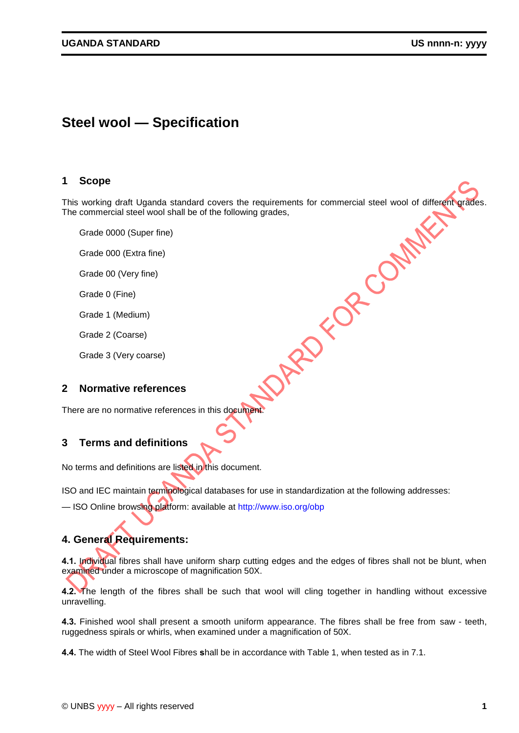# **Steel wool — Specification**

#### **1 Scope**

This working draft Uganda standard covers the requirements for commercial steel wool of different grades.<br>
The commercial steel wool shall be of the following grades,<br>
Grade 0000 (Super fine)<br>
Grade 000 (Extra fine)<br>
Grade The commercial steel wool shall be of the following grades,

Grade 0000 (Super fine)

Grade 000 (Extra fine)

Grade 00 (Very fine)

Grade 0 (Fine)

Grade 1 (Medium)

Grade 2 (Coarse)

Grade 3 (Very coarse)

#### **2 Normative references**

There are no normative references in this document

## **3 Terms and definitions**

No terms and definitions are listed in this document.

ISO and IEC maintain terminological databases for use in standardization at the following addresses:

— ISO Online browsing platform: available at http://www.iso.org/obp

## **4. General Requirements:**

**4.1.** Individual fibres shall have uniform sharp cutting edges and the edges of fibres shall not be blunt, when examined under a microscope of magnification 50X.

**4.2.** The length of the fibres shall be such that wool will cling together in handling without excessive unravelling.

**4.3.** Finished wool shall present a smooth uniform appearance. The fibres shall be free from saw - teeth, ruggedness spirals or whirls, when examined under a magnification of 50X.

**4.4.** The width of Steel Wool Fibres **s**hall be in accordance with Table 1, when tested as in 7.1.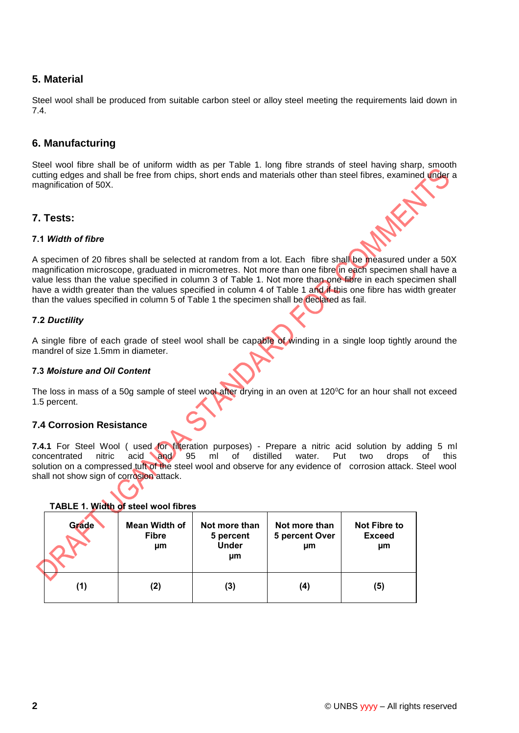## **5. Material**

Steel wool shall be produced from suitable carbon steel or alloy steel meeting the requirements laid down in 7.4.

## **6. Manufacturing**

Steel wool fibre shall be of uniform width as per Table 1. long fibre strands of steel having sharp, smooth cutting edges and shall be free from chips, short ends and materials other than steel fibres, examined under a magnification of 50X.

### **7. Tests:**

#### **7.1** *Width of fibre*

A specimen of 20 fibres shall be selected at random from a lot. Each fibre shall be measured under a 50X magnification microscope, graduated in micrometres. Not more than one fibre in each specimen shall have a value less than the value specified in column 3 of Table 1. Not more than one fibre in each specimen shall have a width greater than the values specified in column 4 of Table 1 and if this one fibre has width greater than the values specified in column 5 of Table 1 the specimen shall be declared as fail.

#### **7.2** *Ductility*

A single fibre of each grade of steel wool shall be capable of winding in a single loop tightly around the mandrel of size 1.5mm in diameter.

#### **7.3** *Moisture and Oil Content*

The loss in mass of a 50g sample of steel wool after drying in an oven at 120 $\degree$ C for an hour shall not exceed 1.5 percent.

#### **7.4 Corrosion Resistance**

**7.4.1** For Steel Wool ( used for filteration purposes) - Prepare a nitric acid solution by adding 5 ml concentrated nitric acid and 95 ml of distilled water. Put two drops of this solution on a compressed tuft of the steel wool and observe for any evidence of corrosion attack. Steel wool shall not show sign of corrosion attack.

#### **TABLE 1. Width of steel wool fibres**

| Grade | Mean Width of<br><b>Fibre</b><br>μm | Not more than<br>5 percent<br><b>Under</b><br>μm | Not more than<br>5 percent Over<br>μm | Not Fibre to<br><b>Exceed</b><br>μm |
|-------|-------------------------------------|--------------------------------------------------|---------------------------------------|-------------------------------------|
| (1)   |                                     | (3)                                              | (4)                                   | (5)                                 |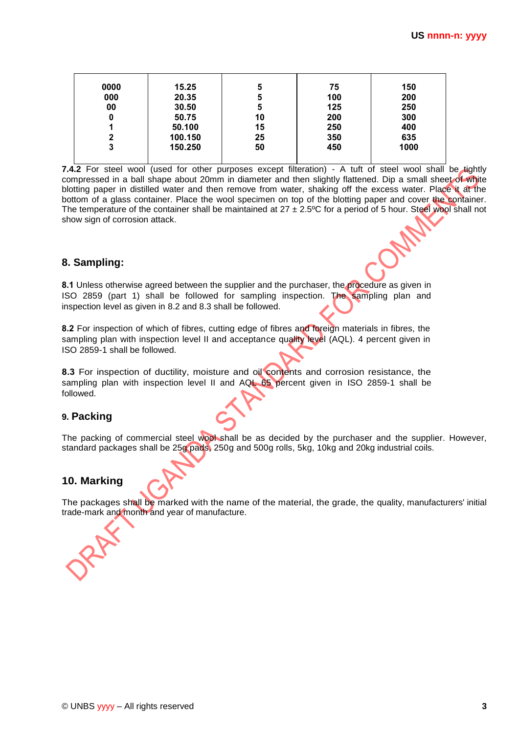| 0000         | 15.25   | 5  | 75  | 150  |
|--------------|---------|----|-----|------|
| 000          | 20.35   | 5  | 100 | 200  |
| 00           | 30.50   | 5  | 125 | 250  |
| 0            | 50.75   | 10 | 200 | 300  |
|              | 50.100  | 15 | 250 | 400  |
| $\mathbf{2}$ | 100.150 | 25 | 350 | 635  |
| 3            | 150.250 | 50 | 450 | 1000 |

7.4.2 For steel wool (used for other purposes except filteration) - A tuft of steel wool shall be tightly compressed in a ball shape about 20mm in diameter and then slightly flattened. Dip a small sheet of white blotting paper in distilled water and then remove from water, shaking off the excess water. Place it at the bottom of a glass container. Place the wool specimen on top of the blotting paper and cover the container. The temperature of the container shall be maintained at  $27 \pm 2.5^{\circ}$ C for a period of 5 hour. Steel wool shall not show sign of corrosion attack.

## **8. Sampling:**

**8.1** Unless otherwise agreed between the supplier and the purchaser, the procedure as given in ISO 2859 (part 1) shall be followed for sampling inspection. The sampling plan and inspection level as given in 8.2 and 8.3 shall be followed.

**8.2** For inspection of which of fibres, cutting edge of fibres and foreign materials in fibres, the sampling plan with inspection level II and acceptance quality level (AQL). 4 percent given in ISO 2859-1 shall be followed.

**8.3** For inspection of ductility, moisture and oil contents and corrosion resistance, the sampling plan with inspection level II and AQL 65 percent given in ISO 2859-1 shall be followed.

## **9. Packing**

The packing of commercial steel wool shall be as decided by the purchaser and the supplier. However, standard packages shall be 25g pads, 250g and 500g rolls, 5kg, 10kg and 20kg industrial coils.

## **10. Marking**

The packages shall be marked with the name of the material, the grade, the quality, manufacturers' initial trade-mark and month and year of manufacture.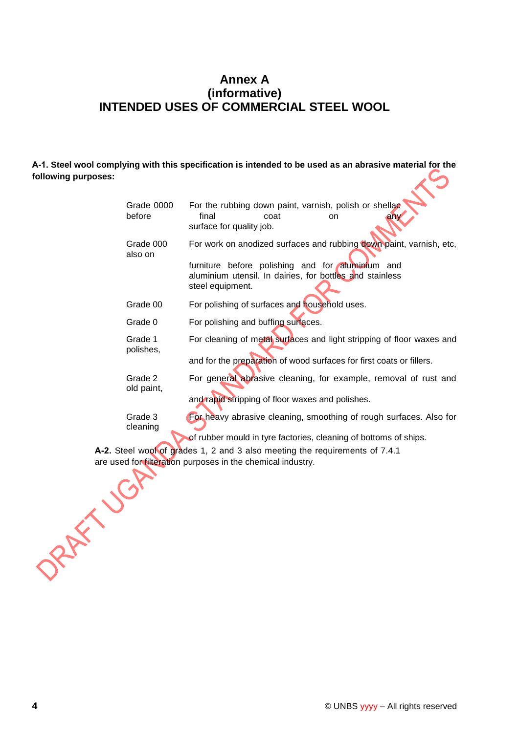## **Annex A (informative) INTENDED USES OF COMMERCIAL STEEL WOOL**

**A-1. Steel wool complying with this specification is intended to be used as an abrasive material for the following purposes:**

| Grade 0000<br>before  | For the rubbing down paint, varnish, polish or shellac<br>final<br>coat<br>any<br>on<br>surface for quality job.                                                                                        |
|-----------------------|---------------------------------------------------------------------------------------------------------------------------------------------------------------------------------------------------------|
| Grade 000<br>also on  | For work on anodized surfaces and rubbing down paint, varnish, etc,<br>furniture before polishing and for aluminfum and<br>aluminium utensil. In dairies, for bottles and stainless<br>steel equipment. |
| Grade 00              | For polishing of surfaces and household uses.                                                                                                                                                           |
| Grade 0               | For polishing and buffing surfaces.                                                                                                                                                                     |
| Grade 1<br>polishes,  | For cleaning of metal surfaces and light stripping of floor waxes and<br>and for the preparation of wood surfaces for first coats or fillers.                                                           |
| Grade 2<br>old paint, | For general abrasive cleaning, for example, removal of rust and<br>and rapid stripping of floor waxes and polishes.                                                                                     |
| Grade 3<br>cleaning   | For heavy abrasive cleaning, smoothing of rough surfaces. Also for<br>of rubber mould in tyre factories, cleaning of bottoms of ships.                                                                  |
|                       | A-2. Steel wool of grades 1, 2 and 3 also meeting the requirements of 7.4.1                                                                                                                             |

are used for filteration purposes in the chemical industry.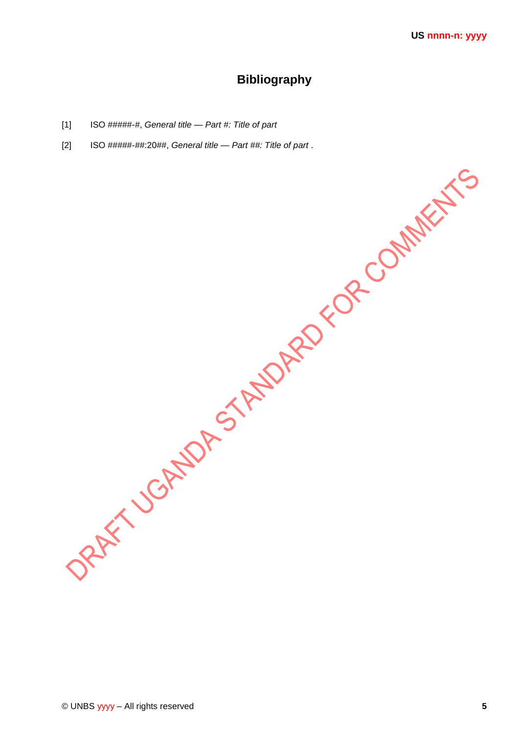# **Bibliography**

- ISO #####-#, General title Part #: Title of part  $[1]$
- $[2]$ ISO #####-##:20##, General title - Part ##: Title of part.

DRAFY JOCATOR STATORD FOR COMMENTS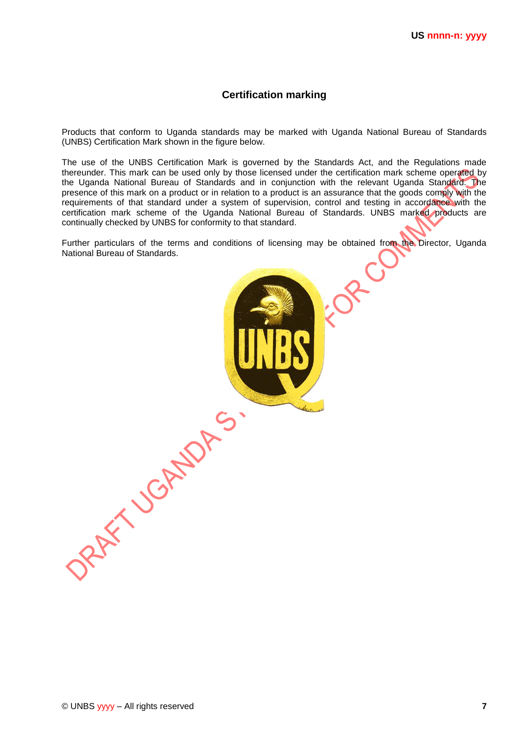#### **Certification marking**

Products that conform to Uganda standards may be marked with Uganda National Bureau of Standards (UNBS) Certification Mark shown in the figure below.

The use of the UNBS Certification Mark is governed by the Standards Act, and the Regulations made thereunder. This mark can be used only by those licensed under the certification mark scheme operated by the Uganda National Bureau of Standards and in conjunction with the relevant Uganda Standard. The presence of this mark on a product or in relation to a product is an assurance that the goods comply with the requirements of that standard under a system of supervision, control and testing in accordance with the certification mark scheme of the Uganda National Bureau of Standards. UNBS marked products are continually checked by UNBS for conformity to that standard.

Further particulars of the terms and conditions of licensing may be obtained from the Director, Uganda National Bureau of Standards.

ORAFY JORNALDAS